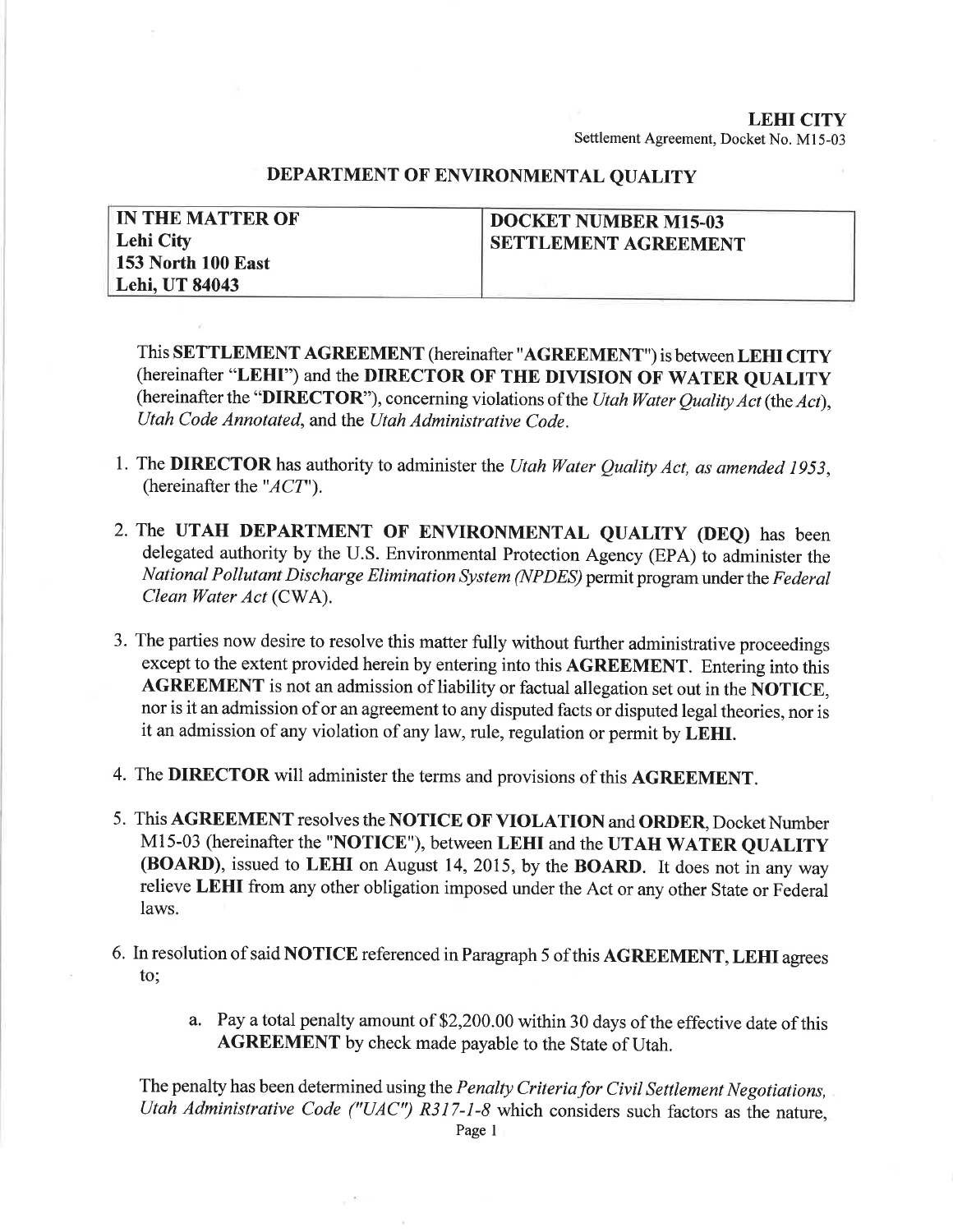## LEHI CITY Settlement Agreement, Docket No. Ml5-03

## DEPARTMENT OF ENVIRONMENTAL QUALITY

| <b>IN THE MATTER OF</b> | <b>DOCKET NUMBER M15-03</b> |
|-------------------------|-----------------------------|
| Lehi City               | <b>SETTLEMENT AGREEMENT</b> |
| 153 North 100 East      |                             |
| Lehi, UT 84043          |                             |

This SETTLEMENT AGREEMENT (hereinafter "AGREEMENT") is between LEHI CITY (hereinafter "LEHI") and the DIRECTOR OF THE DIVISION OF WATER QUALITY (hereinafter the "DIRECTOR"), concerning violations of the Utah Water Quality Act (the Act), Utah Code Annotated, and the Utah Administrative Code.

- 1. The DIRECTOR has authority to administer the Utah Water Quality Act, as amended 1953, (hereinafter the " $ACT$ ").
- 2. The UTAH DEPARTMENT OF ENVIRONMENTAL QUALITY (DEQ) has been delegated authority by the U.S. Environmental Protection Agency (EPA) to administer the National Pollutant Discharge Elimination System (NPDES) permit program under the Federal Clean Water Act (CWA).
- 3. The parties now desire to resolve this matter fully without further administrative proceedings except to the extent provided herein by entering into this AGREEMENT. Entering into this AGREEMENT is not an admission of liability or factual allegation set out in the NOTICE, nor is it an admission of or an agreement to any disputed facts or disputed legal theories, nor is it an admission of any violation of any law, rule, regulation or permit by LEHI.
- 4. The DIRECTOR will administer the terms and provisions of this AGREEMENT.
- 5. This AGREEMENT resolves the NOTICE OF VIOLATION and ORDER, Docket Number M15-03 (hereinafter the "NOTICE"), between LEHI and the UTAH WATER QUALITY (BOARD), issued to LEHI on August 14,2015, by the BOARD. It does not in any way relieve LEHI from any other obligation imposed under the Act or any other State or Federal laws.
- 6. In resolution of said NOTICE referenced in Paragraph 5 ofthis AGREEMENT, LEHI agrees to;
	- a. Pay a total penalty amount of \$2,200.00 within 30 days of the effective date of this AGREEMENT by check made payable to the State of Utah.

The penalty has been determined using the Penalty Criteria for Civil Settlement Negotiations, Utah Administrative Code ("UAC") R317-1-8 which considers such factors as the nature,